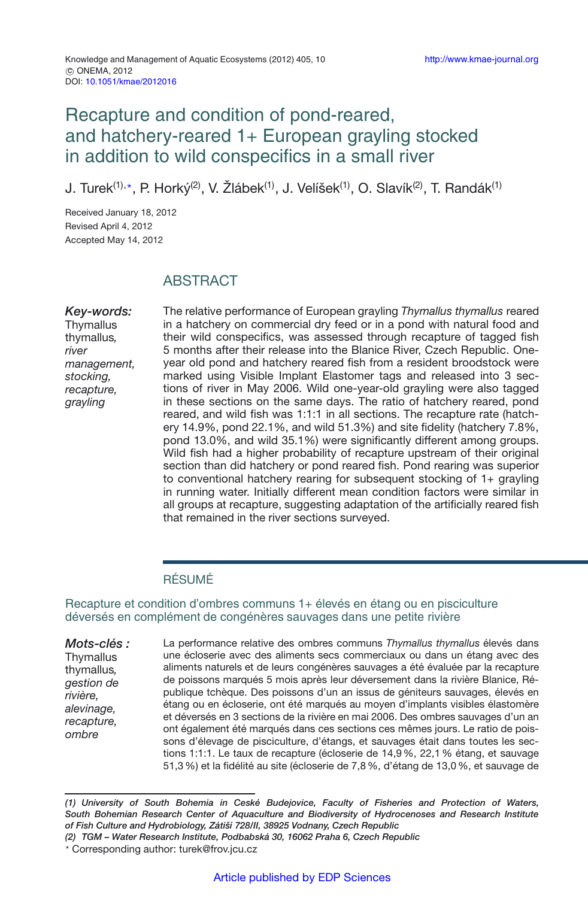# Recapture and condition of pond-reared, and hatchery-reared 1+ European grayling stocked in addition to wild conspecifics in a small river

J. Turek<sup>(1),</sup>\*, P. Horký<sup>(2)</sup>, V. Žlábek<sup>(1)</sup>, J. Velíšek<sup>(1)</sup>, O. Slavík<sup>(2)</sup>, T. Randák<sup>(1)</sup>

Received January 18, 2012 Revised April 4, 2012 Accepted May 14, 2012

## ABSTRACT

*Key-words:* **Thymallus** thymallus*, river management, stocking, recapture, grayling*

The relative performance of European grayling *Thymallus thymallus* reared in a hatchery on commercial dry feed or in a pond with natural food and their wild conspecifics, was assessed through recapture of tagged fish 5 months after their release into the Blanice River, Czech Republic. Oneyear old pond and hatchery reared fish from a resident broodstock were marked using Visible Implant Elastomer tags and released into 3 sections of river in May 2006. Wild one-year-old grayling were also tagged in these sections on the same days. The ratio of hatchery reared, pond reared, and wild fish was 1:1:1 in all sections. The recapture rate (hatchery 14.9%, pond 22.1%, and wild 51.3%) and site fidelity (hatchery 7.8%, pond 13.0%, and wild 35.1%) were significantly different among groups. Wild fish had a higher probability of recapture upstream of their original section than did hatchery or pond reared fish. Pond rearing was superior to conventional hatchery rearing for subsequent stocking of 1+ grayling in running water. Initially different mean condition factors were similar in all groups at recapture, suggesting adaptation of the artificially reared fish that remained in the river sections surveyed.

## RÉSUMÉ

#### Recapture et condition d'ombres communs 1+ élevés en étang ou en pisciculture déversés en complément de congénères sauvages dans une petite rivière

*Mots-clés :* **Thymallus** thymallus*, gestion de rivière, alevinage, recapture, ombre*

La performance relative des ombres communs *Thymallus thymallus* élevés dans une écloserie avec des aliments secs commerciaux ou dans un étang avec des aliments naturels et de leurs congénères sauvages a été évaluée par la recapture de poissons marqués 5 mois après leur déversement dans la rivière Blanice, République tchèque. Des poissons d'un an issus de géniteurs sauvages, élevés en étang ou en écloserie, ont été marqués au moyen d'implants visibles élastomère et déversés en 3 sections de la rivière en mai 2006. Des ombres sauvages d'un an ont également été marqués dans ces sections ces mêmes jours. Le ratio de poissons d'élevage de pisciculture, d'étangs, et sauvages était dans toutes les sections 1:1:1. Le taux de recapture (écloserie de 14,9%, 22,1% étang, et sauvage 51,3%) et la fidélité au site (écloserie de 7,8%, d'étang de 13,0%, et sauvage de

*(1) University of South Bohemia in Ceské Budejovice, Faculty of Fisheries and Protection of Waters, South Bohemian Research Center of Aquaculture and Biodiversity of Hydrocenoses and Research Institute of Fish Culture and Hydrobiology, Zátiší 728/II, 38925 Vodnany, Czech Republic*

*(2) TGM – Water Research Institute, Podbabská 30, 16062 Praha 6, Czech Republic*

<sup>-</sup> Corresponding author: turek@frov.jcu.cz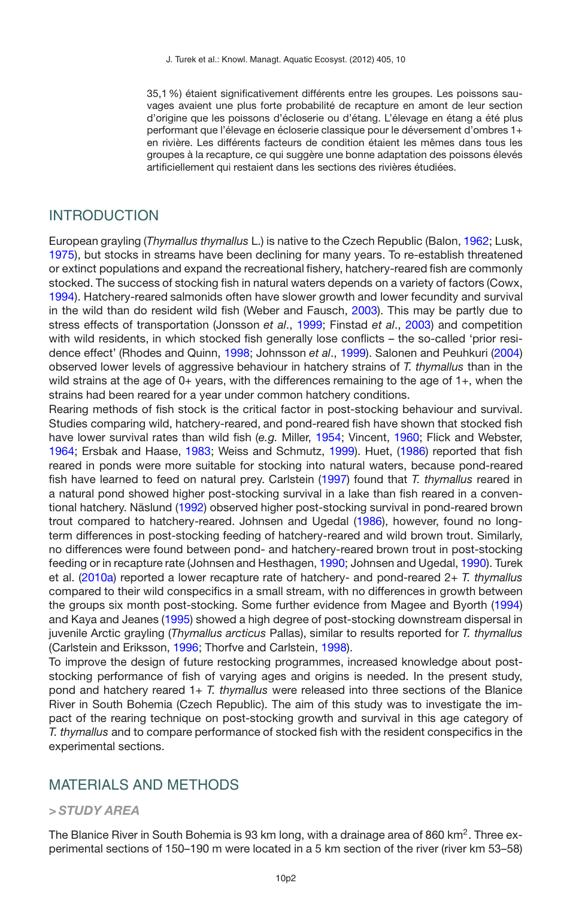35,1%) étaient significativement différents entre les groupes. Les poissons sauvages avaient une plus forte probabilité de recapture en amont de leur section d'origine que les poissons d'écloserie ou d'étang. L'élevage en étang a été plus performant que l'élevage en écloserie classique pour le déversement d'ombres 1+ en rivière. Les différents facteurs de condition étaient les mêmes dans tous les groupes à la recapture, ce qui suggère une bonne adaptation des poissons élevés artificiellement qui restaient dans les sections des rivières étudiées.

#### INTRODUCTION

European grayling (*Thymallus thymallus* L.) is native to the Czech Republic (Balon, [1962](#page-7-0); Lusk, [1975\)](#page-8-0), but stocks in streams have been declining for many years. To re-establish threatened or extinct populations and expand the recreational fishery, hatchery-reared fish are commonly stocked. The success of stocking fish in natural waters depends on a variety of factors (Cowx, [1994\)](#page-8-1). Hatchery-reared salmonids often have slower growth and lower fecundity and survival in the wild than do resident wild fish (Weber and Fausch, [2003](#page-9-0)). This may be partly due to stress effects of transportation (Jonsson *et al*., [1999;](#page-8-2) Finstad *et al*., [2003\)](#page-8-3) and competition with wild residents, in which stocked fish generally lose conflicts – the so-called 'prior residence effect' (Rhodes and Quinn, [1998;](#page-8-4) Johnsson *et al*., [1999\)](#page-8-5). Salonen and Peuhkuri [\(2004\)](#page-8-6) observed lower levels of aggressive behaviour in hatchery strains of *T. thymallus* than in the wild strains at the age of 0+ years, with the differences remaining to the age of 1+, when the strains had been reared for a year under common hatchery conditions.

Rearing methods of fish stock is the critical factor in post-stocking behaviour and survival. Studies comparing wild, hatchery-reared, and pond-reared fish have shown that stocked fish have lower survival rates than wild fish (*e.g.* Miller, [1954](#page-8-7); Vincent, [1960;](#page-9-1) Flick and Webster, [1964;](#page-8-8) Ersbak and Haase, [1983;](#page-8-9) Weiss and Schmutz, [1999\)](#page-9-2). Huet, [\(1986](#page-8-10)) reported that fish reared in ponds were more suitable for stocking into natural waters, because pond-reared fish have learned to feed on natural prey. Carlstein [\(1997\)](#page-8-11) found that *T. thymallus* reared in a natural pond showed higher post-stocking survival in a lake than fish reared in a conventional hatchery. Näslund [\(1992\)](#page-8-12) observed higher post-stocking survival in pond-reared brown trout compared to hatchery-reared. Johnsen and Ugedal [\(1986\)](#page-8-13), however, found no longterm differences in post-stocking feeding of hatchery-reared and wild brown trout. Similarly, no differences were found between pond- and hatchery-reared brown trout in post-stocking feeding or in recapture rate (Johnsen and Hesthagen, [1990](#page-8-14); Johnsen and Ugedal, [1990](#page-8-14)). Turek et al. [\(2010a](#page-9-3)) reported a lower recapture rate of hatchery- and pond-reared 2+ *T. thymallus* compared to their wild conspecifics in a small stream, with no differences in growth between the groups six month post-stocking. Some further evidence from Magee and Byorth [\(1994\)](#page-8-15) and Kaya and Jeanes [\(1995\)](#page-8-16) showed a high degree of post-stocking downstream dispersal in juvenile Arctic grayling (*Thymallus arcticus* Pallas), similar to results reported for *T. thymallus* (Carlstein and Eriksson, [1996](#page-8-17); Thorfve and Carlstein, [1998\)](#page-9-4).

To improve the design of future restocking programmes, increased knowledge about poststocking performance of fish of varying ages and origins is needed. In the present study, pond and hatchery reared 1+ *T. thymallus* were released into three sections of the Blanice River in South Bohemia (Czech Republic). The aim of this study was to investigate the impact of the rearing technique on post-stocking growth and survival in this age category of *T. thymallus* and to compare performance of stocked fish with the resident conspecifics in the experimental sections.

### MATERIALS AND METHODS

#### *> STUDY AREA*

The Blanice River in South Bohemia is 93 km long, with a drainage area of 860 km<sup>2</sup>. Three experimental sections of 150–190 m were located in a 5 km section of the river (river km 53–58)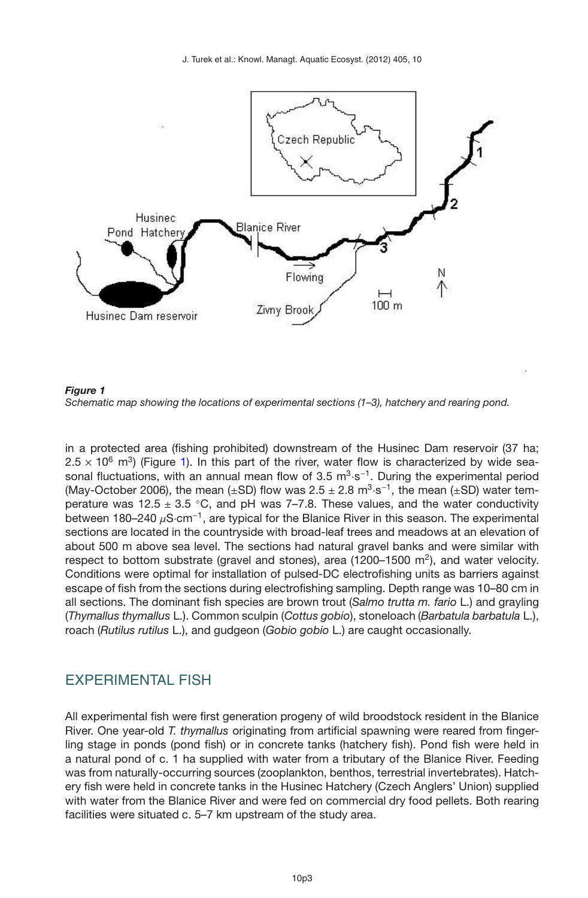<span id="page-2-0"></span>

*Figure 1 Schematic map showing the locations of experimental sections (1–3), hatchery and rearing pond.*

in a protected area (fishing prohibited) downstream of the Husinec Dam reservoir (37 ha;  $2.5 \times 10^6$  m<sup>3</sup>) (Figure [1\)](#page-2-0). In this part of the river, water flow is characterized by wide seasonal fluctuations, with an annual mean flow of 3.5 m<sup>3</sup>·s<sup>-1</sup>. During the experimental period (May-October 2006), the mean (±SD) flow was  $2.5 \pm 2.8$  m<sup>3</sup>·s<sup>-1</sup>, the mean (±SD) water temperature was  $12.5 \pm 3.5$  °C, and pH was 7-7.8. These values, and the water conductivity between 180–240  $\mu$ S·cm<sup>-1</sup>, are typical for the Blanice River in this season. The experimental sections are located in the countryside with broad-leaf trees and meadows at an elevation of about 500 m above sea level. The sections had natural gravel banks and were similar with respect to bottom substrate (gravel and stones), area (1200–1500  $\mathrm{m}^2$ ), and water velocity. Conditions were optimal for installation of pulsed-DC electrofishing units as barriers against escape of fish from the sections during electrofishing sampling. Depth range was 10–80 cm in all sections. The dominant fish species are brown trout (*Salmo trutta m. fario* L.) and grayling (*Thymallus thymallus* L.). Common sculpin (*Cottus gobio*), stoneloach (*Barbatula barbatula* L.), roach (*Rutilus rutilus* L.), and gudgeon (*Gobio gobio* L.) are caught occasionally.

## EXPERIMENTAL FISH

All experimental fish were first generation progeny of wild broodstock resident in the Blanice River. One year-old *T. thymallus* originating from artificial spawning were reared from fingerling stage in ponds (pond fish) or in concrete tanks (hatchery fish). Pond fish were held in a natural pond of c. 1 ha supplied with water from a tributary of the Blanice River. Feeding was from naturally-occurring sources (zooplankton, benthos, terrestrial invertebrates). Hatchery fish were held in concrete tanks in the Husinec Hatchery (Czech Anglers' Union) supplied with water from the Blanice River and were fed on commercial dry food pellets. Both rearing facilities were situated c. 5–7 km upstream of the study area.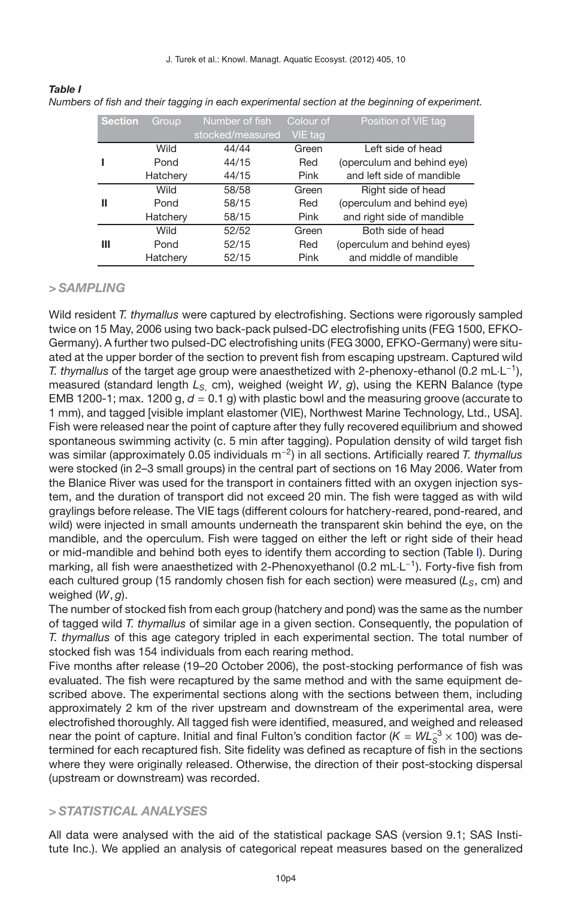J. Turek et al.: Knowl. Managt. Aquatic Ecosyst. (2012) 405, 10

| <b>Section</b> | Group    | Number of fish   | Colour of | Position of VIE tag         |
|----------------|----------|------------------|-----------|-----------------------------|
|                |          | stocked/measured | VIE tag   |                             |
|                | Wild     | 44/44            | Green     | Left side of head           |
|                | Pond     | 44/15            | Red       | (operculum and behind eye)  |
|                | Hatchery | 44/15            | Pink      | and left side of mandible   |
|                | Wild     | 58/58            | Green     | Right side of head          |
| Ш              | Pond     | 58/15            | Red       | (operculum and behind eye)  |
|                | Hatchery | 58/15            | Pink      | and right side of mandible  |
|                | Wild     | 52/52            | Green     | Both side of head           |
| Ш              | Pond     | 52/15            | Red       | (operculum and behind eyes) |
|                | Hatchery | 52/15            | Pink      | and middle of mandible      |

*Numbers of fish and their tagging in each experimental section at the beginning of experiment.*

#### *> SAMPLING*

<span id="page-3-0"></span>*Table I*

Wild resident *T. thymallus* were captured by electrofishing. Sections were rigorously sampled twice on 15 May, 2006 using two back-pack pulsed-DC electrofishing units (FEG 1500, EFKO-Germany). A further two pulsed-DC electrofishing units (FEG 3000, EFKO-Germany) were situated at the upper border of the section to prevent fish from escaping upstream. Captured wild *T. thymallus* of the target age group were anaesthetized with 2-phenoxy-ethanol (0.2 mL·L−1), measured (standard length *L<sub>S</sub>* cm), weighed (weight *W*, *g*), using the KERN Balance (type EMB 1200-1; max. 1200 g,  $d = 0.1$  g) with plastic bowl and the measuring groove (accurate to 1 mm), and tagged [visible implant elastomer (VIE), Northwest Marine Technology, Ltd., USA]. Fish were released near the point of capture after they fully recovered equilibrium and showed spontaneous swimming activity (c. 5 min after tagging). Population density of wild target fish was similar (approximately 0.05 individuals m−2) in all sections. Artificially reared *T. thymallus* were stocked (in 2–3 small groups) in the central part of sections on 16 May 2006. Water from the Blanice River was used for the transport in containers fitted with an oxygen injection system, and the duration of transport did not exceed 20 min. The fish were tagged as with wild graylings before release. The VIE tags (different colours for hatchery-reared, pond-reared, and wild) were injected in small amounts underneath the transparent skin behind the eye, on the mandible, and the operculum. Fish were tagged on either the left or right side of their head or mid-mandible and behind both eyes to identify them according to section (Table [I\)](#page-3-0). During marking, all fish were anaesthetized with 2-Phenoxyethanol (0.2 mL⋅L<sup>-1</sup>). Forty-five fish from each cultured group (15 randomly chosen fish for each section) were measured ( $L_s$ , cm) and weighed (*W*, *g*).

The number of stocked fish from each group (hatchery and pond) was the same as the number of tagged wild *T. thymallus* of similar age in a given section. Consequently, the population of *T. thymallus* of this age category tripled in each experimental section. The total number of stocked fish was 154 individuals from each rearing method.

Five months after release (19–20 October 2006), the post-stocking performance of fish was evaluated. The fish were recaptured by the same method and with the same equipment described above. The experimental sections along with the sections between them, including approximately 2 km of the river upstream and downstream of the experimental area, were electrofished thoroughly. All tagged fish were identified, measured, and weighed and released near the point of capture. Initial and final Fulton's condition factor (*K* = *WL*<sub>S</sub><sup>3</sup> × 100) was determined for each recaptured fish. Site fidelity was defined as recapture of fish in the sections where they were originally released. Otherwise, the direction of their post-stocking dispersal (upstream or downstream) was recorded.

#### *> STATISTICAL ANALYSES*

All data were analysed with the aid of the statistical package SAS (version 9.1; SAS Institute Inc.). We applied an analysis of categorical repeat measures based on the generalized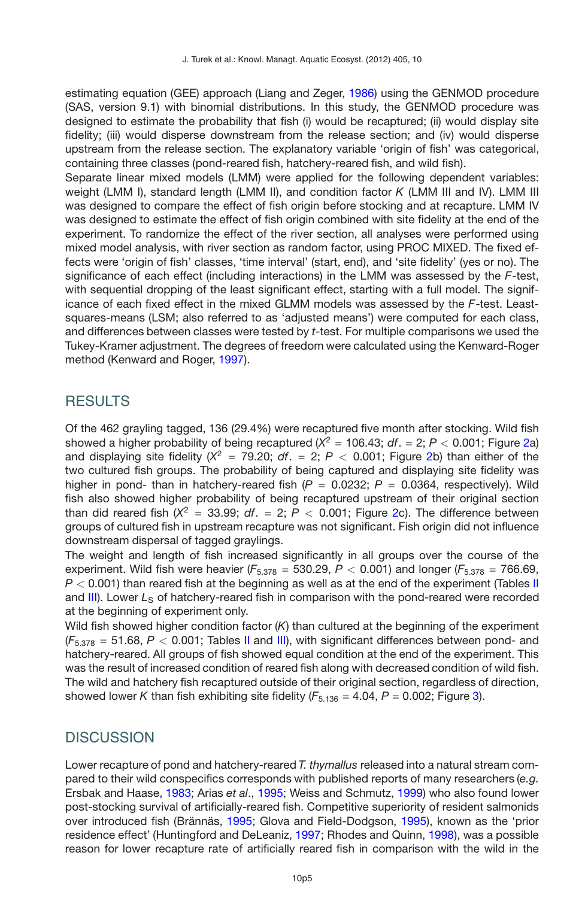estimating equation (GEE) approach (Liang and Zeger, [1986\)](#page-8-18) using the GENMOD procedure (SAS, version 9.1) with binomial distributions. In this study, the GENMOD procedure was designed to estimate the probability that fish (i) would be recaptured; (ii) would display site fidelity; (iii) would disperse downstream from the release section; and (iv) would disperse upstream from the release section. The explanatory variable 'origin of fish' was categorical, containing three classes (pond-reared fish, hatchery-reared fish, and wild fish).

Separate linear mixed models (LMM) were applied for the following dependent variables: weight (LMM I), standard length (LMM II), and condition factor *K* (LMM III and IV). LMM III was designed to compare the effect of fish origin before stocking and at recapture. LMM IV was designed to estimate the effect of fish origin combined with site fidelity at the end of the experiment. To randomize the effect of the river section, all analyses were performed using mixed model analysis, with river section as random factor, using PROC MIXED. The fixed effects were 'origin of fish' classes, 'time interval' (start, end), and 'site fidelity' (yes or no). The significance of each effect (including interactions) in the LMM was assessed by the *F*-test, with sequential dropping of the least significant effect, starting with a full model. The significance of each fixed effect in the mixed GLMM models was assessed by the *F*-test. Leastsquares-means (LSM; also referred to as 'adjusted means') were computed for each class, and differences between classes were tested by *t*-test. For multiple comparisons we used the Tukey-Kramer adjustment. The degrees of freedom were calculated using the Kenward-Roger method (Kenward and Roger, [1997\)](#page-8-19).

## **RESULTS**

Of the 462 grayling tagged, 136 (29.4%) were recaptured five month after stocking. Wild fish showed a higher probability of being recaptured  $(X^2 = 106.43$ ;  $df = 2$ ;  $P < 0.001$ ; Figure [2a](#page-5-0)) and displaying site fidelity  $(X^2 = 79.20; df = 2; P < 0.001;$  Figure [2b](#page-5-0)) than either of the two cultured fish groups. The probability of being captured and displaying site fidelity was higher in pond- than in hatchery-reared fish  $(P = 0.0232; P = 0.0364$ , respectively). Wild fish also showed higher probability of being recaptured upstream of their original section than did reared fish  $(X^2 = 33.99; df. = 2; P < 0.001;$  Figure [2c](#page-5-0)). The difference between groups of cultured fish in upstream recapture was not significant. Fish origin did not influence downstream dispersal of tagged graylings.

The weight and length of fish increased significantly in all groups over the course of the experiment. Wild fish were heavier ( $F_{5.378}$  = 530.29,  $P < 0.001$ ) and longer ( $F_{5.378}$  = 766.69, *P* < 0.001) than reared fish at the beginning as well as at the end of the experiment (Tables [II](#page-6-0) and [III\)](#page-6-1). Lower L<sub>S</sub> of hatchery-reared fish in comparison with the pond-reared were recorded at the beginning of experiment only.

Wild fish showed higher condition factor (*K*) than cultured at the beginning of the experiment  $(F<sub>5.378</sub> = 51.68, P < 0.001$ ; Tables [II](#page-6-0) and [III\)](#page-6-1), with significant differences between pond- and hatchery-reared. All groups of fish showed equal condition at the end of the experiment. This was the result of increased condition of reared fish along with decreased condition of wild fish. The wild and hatchery fish recaptured outside of their original section, regardless of direction, showed lower *K* than fish exhibiting site fidelity  $(F_{5,136} = 4.04, P = 0.002$ ; Figure [3\)](#page-6-2).

## **DISCUSSION**

Lower recapture of pond and hatchery-reared *T. thymallus* released into a natural stream compared to their wild conspecifics corresponds with published reports of many researchers (*e.g.* Ersbak and Haase, [1983;](#page-8-9) Arias *et al*., [1995;](#page-7-1) Weiss and Schmutz, [1999\)](#page-9-2) who also found lower post-stocking survival of artificially-reared fish. Competitive superiority of resident salmonids over introduced fish (Brännäs, [1995](#page-8-20); Glova and Field-Dodgson, [1995](#page-8-21)), known as the 'prior residence effect' (Huntingford and DeLeaniz, [1997](#page-8-22); Rhodes and Quinn, [1998](#page-8-4)), was a possible reason for lower recapture rate of artificially reared fish in comparison with the wild in the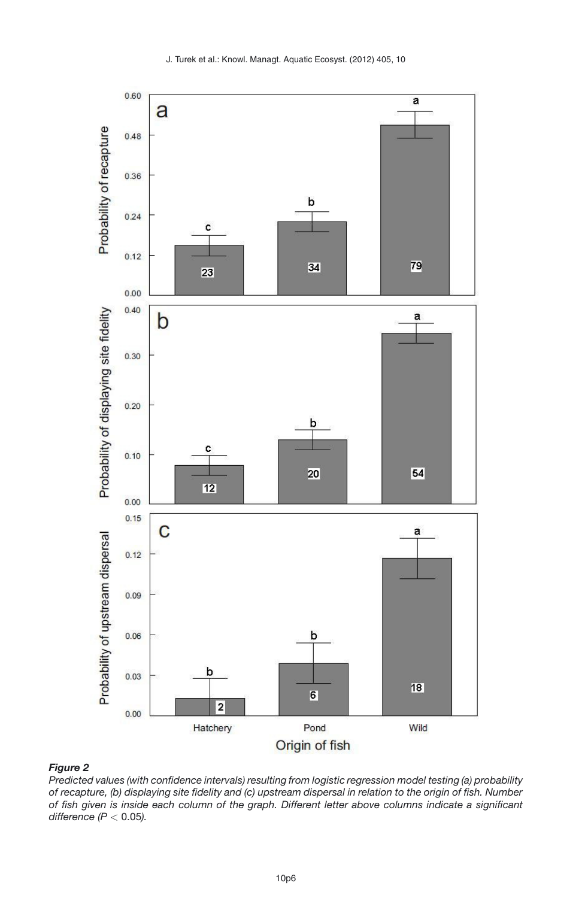

#### <span id="page-5-0"></span>*Figure 2*

*Predicted values (with confidence intervals) resulting from logistic regression model testing (a) probability of recapture, (b) displaying site fidelity and (c) upstream dispersal in relation to the origin of fish. Number of fish given is inside each column of the graph. Different letter above columns indicate a significant difference (P <* 0.05*).*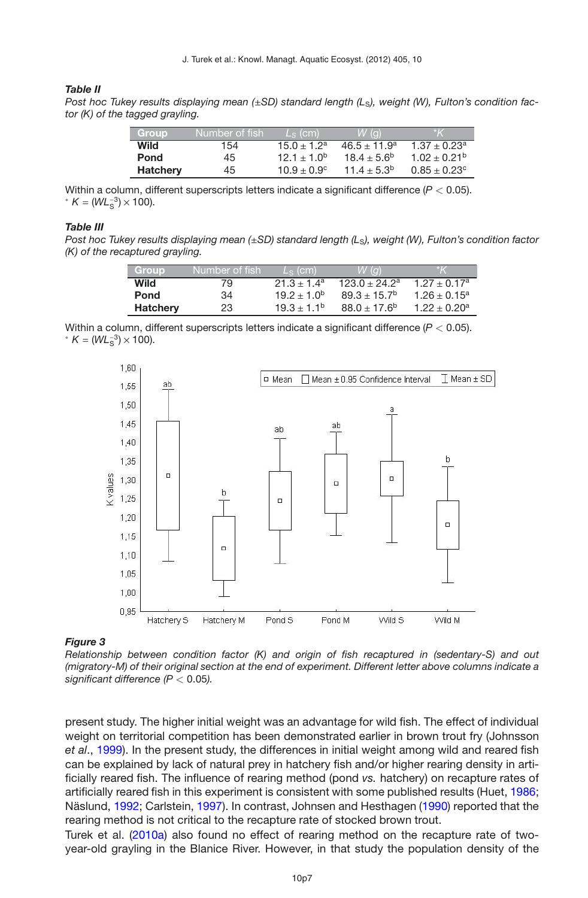#### <span id="page-6-0"></span>*Table II*

*Post hoc Tukey results displaying mean (*±*SD) standard length (L*S*), weight (W), Fulton's condition factor (K) of the tagged grayling.*

| Group           | Number of fish. | $Ls$ (cm)            | $W(\alpha)$       | l*K                     |
|-----------------|-----------------|----------------------|-------------------|-------------------------|
| Wild            | 154             | $15.0 + 1.2a$        | $46.5 \pm 11.9^a$ | $1.37 + 0.23a$          |
| Pond            | 45              | $12.1 + 1.0^{b}$     | $18.4 + 5.6^b$    | $1.02 \pm 0.21^{\circ}$ |
| <b>Hatcherv</b> | 45              | $10.9 + 0.9^{\circ}$ | $11.4 \pm 5.3^b$  | $0.85 \pm 0.23^{\circ}$ |

Within a column, different superscripts letters indicate a significant difference (*P <* 0.05). \*  $K = (WL_s^{-3}) \times 100$ .

#### <span id="page-6-1"></span>*Table III*

*Post hoc Tukey results displaying mean (*±*SD) standard length (L*S*), weight (W), Fulton's condition factor (K) of the recaptured grayling.*

| Group           | Number of fish | $Ls$ (cm)                   | $W(\alpha)$           |                   |
|-----------------|----------------|-----------------------------|-----------------------|-------------------|
| Wild            | 79             | $21.3 + 1.4^a$              | $123.0 + 24.2a$       | $1.27 + 0.17a$    |
| Pond            | 34             | 19.2 $\pm$ 1.0 <sup>b</sup> | $89.3 + 15.7^{\circ}$ | $1.26 \pm 0.15^a$ |
| <b>Hatchery</b> | 23             | $19.3 + 1.1^{b}$            | $88.0 + 17.6^b$       | $1.22 + 0.20a$    |

Within a column, different superscripts letters indicate a significant difference (*P <* 0.05). \*  $K = (WL_s^{-3}) \times 100$ .

<span id="page-6-2"></span>

#### *Figure 3*

*Relationship between condition factor (K) and origin of fish recaptured in (sedentary-S) and out (migratory-M) of their original section at the end of experiment. Different letter above columns indicate a significant difference (P <* 0.05*).*

present study. The higher initial weight was an advantage for wild fish. The effect of individual weight on territorial competition has been demonstrated earlier in brown trout fry (Johnsson *et al*., [1999](#page-8-5)). In the present study, the differences in initial weight among wild and reared fish can be explained by lack of natural prey in hatchery fish and/or higher rearing density in artificially reared fish. The influence of rearing method (pond *vs.* hatchery) on recapture rates of artificially reared fish in this experiment is consistent with some published results (Huet, [1986;](#page-8-10) Näslund, [1992;](#page-8-12) Carlstein, [1997\)](#page-8-11). In contrast, Johnsen and Hesthagen [\(1990](#page-8-14)) reported that the rearing method is not critical to the recapture rate of stocked brown trout.

Turek et al. [\(2010a](#page-9-3)) also found no effect of rearing method on the recapture rate of twoyear-old grayling in the Blanice River. However, in that study the population density of the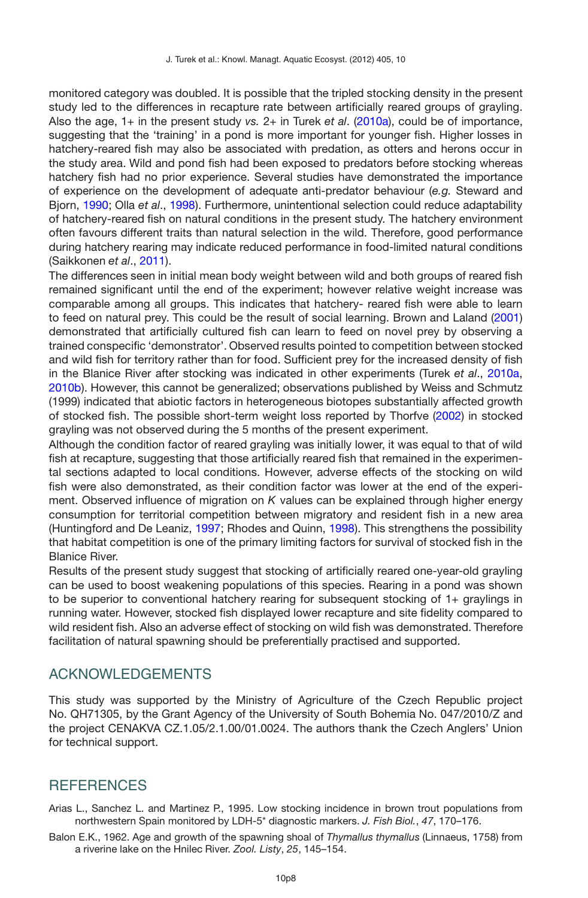monitored category was doubled. It is possible that the tripled stocking density in the present study led to the differences in recapture rate between artificially reared groups of grayling. Also the age, 1+ in the present study *vs.* 2+ in Turek *et al*. [\(2010a](#page-9-3)), could be of importance, suggesting that the 'training' in a pond is more important for younger fish. Higher losses in hatchery-reared fish may also be associated with predation, as otters and herons occur in the study area. Wild and pond fish had been exposed to predators before stocking whereas hatchery fish had no prior experience. Several studies have demonstrated the importance of experience on the development of adequate anti-predator behaviour (*e.g.* Steward and Bjorn, [1990](#page-9-5); Olla *et al*., [1998](#page-8-23)). Furthermore, unintentional selection could reduce adaptability of hatchery-reared fish on natural conditions in the present study. The hatchery environment often favours different traits than natural selection in the wild. Therefore, good performance during hatchery rearing may indicate reduced performance in food-limited natural conditions (Saikkonen *et al*., [2011](#page-8-24)).

The differences seen in initial mean body weight between wild and both groups of reared fish remained significant until the end of the experiment; however relative weight increase was comparable among all groups. This indicates that hatchery- reared fish were able to learn to feed on natural prey. This could be the result of social learning. Brown and Laland [\(2001\)](#page-8-25) demonstrated that artificially cultured fish can learn to feed on novel prey by observing a trained conspecific 'demonstrator'. Observed results pointed to competition between stocked and wild fish for territory rather than for food. Sufficient prey for the increased density of fish in the Blanice River after stocking was indicated in other experiments (Turek *et al*., [2010a,](#page-9-3) [2010b](#page-9-6)). However, this cannot be generalized; observations published by Weiss and Schmutz (1999) indicated that abiotic factors in heterogeneous biotopes substantially affected growth of stocked fish. The possible short-term weight loss reported by Thorfve [\(2002](#page-9-7)) in stocked grayling was not observed during the 5 months of the present experiment.

Although the condition factor of reared grayling was initially lower, it was equal to that of wild fish at recapture, suggesting that those artificially reared fish that remained in the experimental sections adapted to local conditions. However, adverse effects of the stocking on wild fish were also demonstrated, as their condition factor was lower at the end of the experiment. Observed influence of migration on *K* values can be explained through higher energy consumption for territorial competition between migratory and resident fish in a new area (Huntingford and De Leaniz, [1997;](#page-8-22) Rhodes and Quinn, [1998\)](#page-8-4). This strengthens the possibility that habitat competition is one of the primary limiting factors for survival of stocked fish in the Blanice River.

Results of the present study suggest that stocking of artificially reared one-year-old grayling can be used to boost weakening populations of this species. Rearing in a pond was shown to be superior to conventional hatchery rearing for subsequent stocking of 1+ graylings in running water. However, stocked fish displayed lower recapture and site fidelity compared to wild resident fish. Also an adverse effect of stocking on wild fish was demonstrated. Therefore facilitation of natural spawning should be preferentially practised and supported.

## ACKNOWLEDGEMENTS

This study was supported by the Ministry of Agriculture of the Czech Republic project No. QH71305, by the Grant Agency of the University of South Bohemia No. 047/2010/Z and the project CENAKVA CZ.1.05/2.1.00/01.0024. The authors thank the Czech Anglers' Union for technical support.

#### **REFERENCES**

<span id="page-7-1"></span>Arias L., Sanchez L. and Martinez P., 1995. Low stocking incidence in brown trout populations from northwestern Spain monitored by LDH-5\* diagnostic markers. *J. Fish Biol.*, *47*, 170–176.

<span id="page-7-0"></span>Balon E.K., 1962. Age and growth of the spawning shoal of *Thymallus thymallus* (Linnaeus, 1758) from a riverine lake on the Hnilec River. *Zool. Listy*, *25*, 145–154.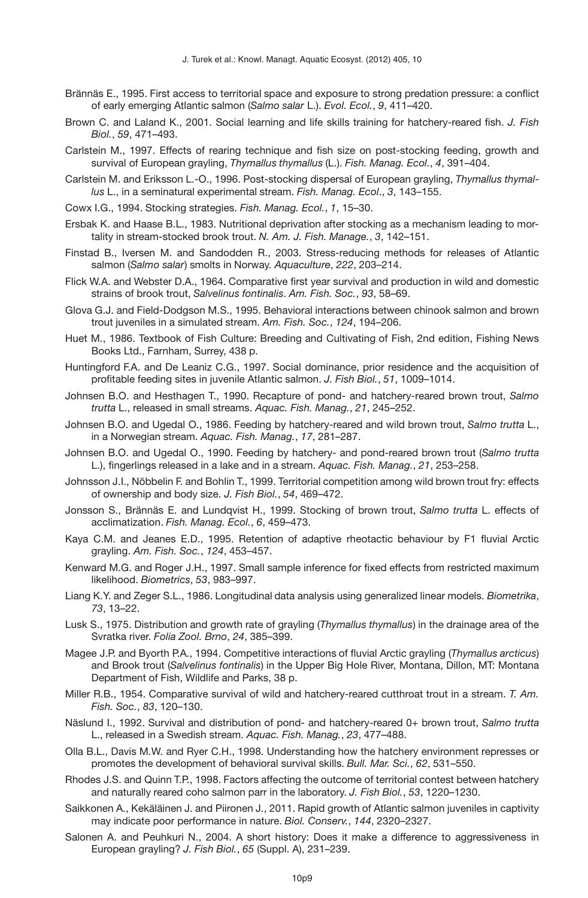- <span id="page-8-20"></span>Brännäs E., 1995. First access to territorial space and exposure to strong predation pressure: a conflict of early emerging Atlantic salmon (*Salmo salar* L.). *Evol. Ecol.*, *9*, 411–420.
- <span id="page-8-25"></span>Brown C. and Laland K., 2001. Social learning and life skills training for hatchery-reared fish. *J. Fish Biol.*, *59*, 471–493.
- <span id="page-8-11"></span>Carlstein M., 1997. Effects of rearing technique and fish size on post-stocking feeding, growth and survival of European grayling, *Thymallus thymallus* (L.). *Fish. Manag. Ecol.*, *4*, 391–404.
- <span id="page-8-17"></span>Carlstein M. and Eriksson L.-O., 1996. Post-stocking dispersal of European grayling, *Thymallus thymallus* L., in a seminatural experimental stream. *Fish. Manag. Ecol*., *3*, 143–155.
- <span id="page-8-1"></span>Cowx I.G., 1994. Stocking strategies. *Fish. Manag. Ecol.*, *1*, 15–30.
- <span id="page-8-9"></span>Ersbak K. and Haase B.L., 1983. Nutritional deprivation after stocking as a mechanism leading to mortality in stream-stocked brook trout. *N. Am. J. Fish. Manage.*, *3*, 142–151.
- <span id="page-8-3"></span>Finstad B., Iversen M. and Sandodden R., 2003. Stress-reducing methods for releases of Atlantic salmon (*Salmo salar*) smolts in Norway. *Aquaculture*, *222*, 203–214.
- <span id="page-8-8"></span>Flick W.A. and Webster D.A., 1964. Comparative first year survival and production in wild and domestic strains of brook trout, *Salvelinus fontinalis*. *Am. Fish. Soc.*, *93*, 58–69.
- <span id="page-8-21"></span>Glova G.J. and Field-Dodgson M.S., 1995. Behavioral interactions between chinook salmon and brown trout juveniles in a simulated stream. *Am. Fish. Soc.*, *124*, 194–206.
- <span id="page-8-10"></span>Huet M., 1986. Textbook of Fish Culture: Breeding and Cultivating of Fish, 2nd edition, Fishing News Books Ltd., Farnham, Surrey, 438 p.
- <span id="page-8-22"></span>Huntingford F.A. and De Leaniz C.G., 1997. Social dominance, prior residence and the acquisition of profitable feeding sites in juvenile Atlantic salmon. *J. Fish Biol.*, *51*, 1009–1014.
- <span id="page-8-14"></span>Johnsen B.O. and Hesthagen T., 1990. Recapture of pond- and hatchery-reared brown trout, *Salmo trutta* L., released in small streams. *Aquac. Fish. Manag.*, *21*, 245–252.
- <span id="page-8-13"></span>Johnsen B.O. and Ugedal O., 1986. Feeding by hatchery-reared and wild brown trout, *Salmo trutta* L., in a Norwegian stream. *Aquac. Fish. Manag.*, *17*, 281–287.
- Johnsen B.O. and Ugedal O., 1990. Feeding by hatchery- and pond-reared brown trout (*Salmo trutta* L.), fingerlings released in a lake and in a stream. *Aquac. Fish. Manag.*, *21*, 253–258.
- <span id="page-8-5"></span>Johnsson J.I., Nöbbelin F. and Bohlin T., 1999. Territorial competition among wild brown trout fry: effects of ownership and body size. *J. Fish Biol.*, *54*, 469–472.
- <span id="page-8-2"></span>Jonsson S., Brännäs E. and Lundqvist H., 1999. Stocking of brown trout, *Salmo trutta* L. effects of acclimatization. *Fish. Manag. Ecol.*, *6*, 459–473.
- <span id="page-8-16"></span>Kaya C.M. and Jeanes E.D., 1995. Retention of adaptive rheotactic behaviour by F1 fluvial Arctic grayling. *Am. Fish. Soc.*, *124*, 453–457.
- <span id="page-8-19"></span>Kenward M.G. and Roger J.H., 1997. Small sample inference for fixed effects from restricted maximum likelihood. *Biometrics*, *53*, 983–997.
- <span id="page-8-18"></span>Liang K.Y. and Zeger S.L., 1986. Longitudinal data analysis using generalized linear models. *Biometrika*, *73*, 13–22.
- <span id="page-8-0"></span>Lusk S., 1975. Distribution and growth rate of grayling (*Thymallus thymallus*) in the drainage area of the Svratka river. *Folia Zool. Brno*, *24*, 385–399.
- <span id="page-8-15"></span>Magee J.P. and Byorth P.A., 1994. Competitive interactions of fluvial Arctic grayling (*Thymallus arcticus*) and Brook trout (*Salvelinus fontinalis*) in the Upper Big Hole River, Montana, Dillon, MT: Montana Department of Fish, Wildlife and Parks, 38 p.
- <span id="page-8-7"></span>Miller R.B., 1954. Comparative survival of wild and hatchery-reared cutthroat trout in a stream. *T. Am. Fish. Soc.*, *83*, 120–130.
- <span id="page-8-12"></span>Näslund I., 1992. Survival and distribution of pond- and hatchery-reared 0+ brown trout, *Salmo trutta* L., released in a Swedish stream. *Aquac. Fish. Manag.*, *23*, 477–488.
- <span id="page-8-23"></span>Olla B.L., Davis M.W. and Ryer C.H., 1998. Understanding how the hatchery environment represses or promotes the development of behavioral survival skills. *Bull. Mar. Sci.*, *62*, 531–550.
- <span id="page-8-4"></span>Rhodes J.S. and Quinn T.P., 1998. Factors affecting the outcome of territorial contest between hatchery and naturally reared coho salmon parr in the laboratory. *J. Fish Biol.*, *53*, 1220–1230.
- <span id="page-8-24"></span>Saikkonen A., Kekäläinen J. and Piironen J., 2011. Rapid growth of Atlantic salmon juveniles in captivity may indicate poor performance in nature. *Biol. Conserv.*, *144*, 2320–2327.
- <span id="page-8-6"></span>Salonen A. and Peuhkuri N., 2004. A short history: Does it make a difference to aggressiveness in European grayling? *J. Fish Biol.*, *65* (Suppl. A), 231–239.